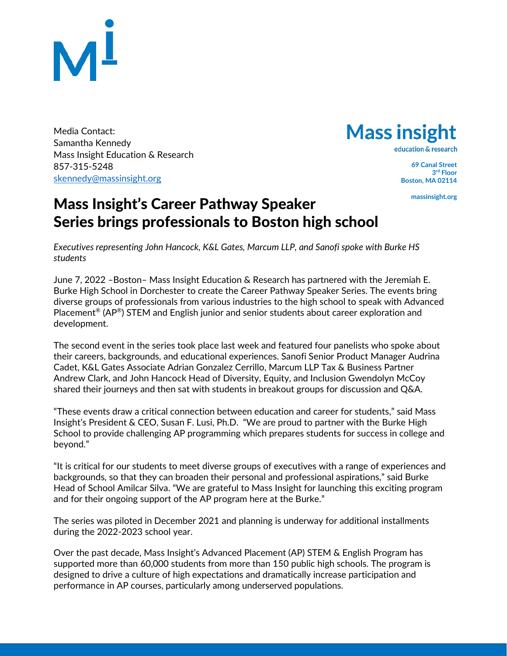## $\mathbf{M}^{\perp}$

Media Contact: Samantha Kennedy Mass Insight Education & Research 857-315-5248 [skennedy@massinsight.org](mailto:skennedy@massinsight.org)



education & research

**69 Canal Street 3 rd Floor Boston, MA 02114**

**massinsight.org**

## Mass Insight's Career Pathway Speaker Series brings professionals to Boston high school

*Executives representing John Hancock, K&L Gates, Marcum LLP, and Sanofi spoke with Burke HS students*

June 7, 2022 –Boston– Mass Insight Education & Research has partnered with the Jeremiah E. Burke High School in Dorchester to create the Career Pathway Speaker Series. The events bring diverse groups of professionals from various industries to the high school to speak with Advanced Placement® (AP®) STEM and English junior and senior students about career exploration and development.

The second event in the series took place last week and featured four panelists who spoke about their careers, backgrounds, and educational experiences. Sanofi Senior Product Manager Audrina Cadet, K&L Gates Associate Adrian Gonzalez Cerrillo, Marcum LLP Tax & Business Partner Andrew Clark, and John Hancock Head of Diversity, Equity, and Inclusion Gwendolyn McCoy shared their journeys and then sat with students in breakout groups for discussion and Q&A.

"These events draw a critical connection between education and career for students," said Mass Insight's President & CEO, Susan F. Lusi, Ph.D. "We are proud to partner with the Burke High School to provide challenging AP programming which prepares students for success in college and beyond."

"It is critical for our students to meet diverse groups of executives with a range of experiences and backgrounds, so that they can broaden their personal and professional aspirations," said Burke Head of School Amilcar Silva. "We are grateful to Mass Insight for launching this exciting program and for their ongoing support of the AP program here at the Burke."

The series was piloted in December 2021 and planning is underway for additional installments during the 2022-2023 school year.

Over the past decade, Mass Insight's Advanced Placement (AP) STEM & English Program has supported more than 60,000 students from more than 150 public high schools. The program is designed to drive a culture of high expectations and dramatically increase participation and performance in AP courses, particularly among underserved populations.